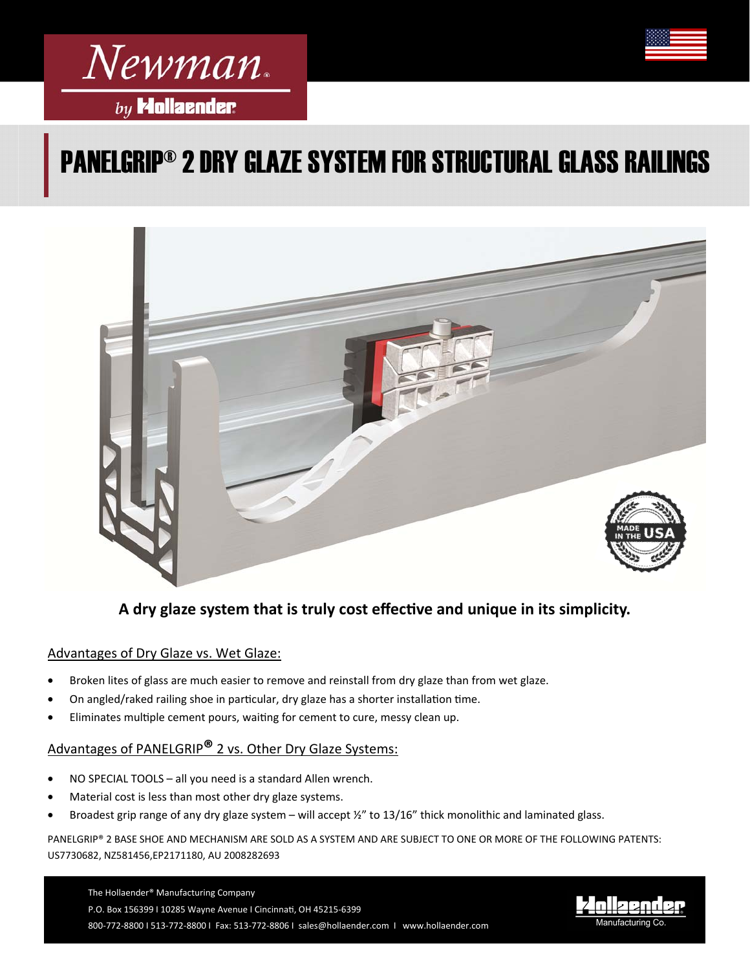

# PANELGRIP® 2 DRY GLAZE SYSTEM FOR STRUCTURAL GLASS RAILINGS



A dry glaze system that is truly cost effective and unique in its simplicity.

### Advantages of Dry Glaze vs. Wet Glaze:

- Broken lites of glass are much easier to remove and reinstall from dry glaze than from wet glaze.
- On angled/raked railing shoe in particular, dry glaze has a shorter installation time.
- Eliminates multiple cement pours, waiting for cement to cure, messy clean up.

## Advantages of PANELGRIP**®** 2 vs. Other Dry Glaze Systems:

- NO SPECIAL TOOLS all you need is a standard Allen wrench.
- Material cost is less than most other dry glaze systems.
- Broadest grip range of any dry glaze system will accept ½" to 13/16" thick monolithic and laminated glass.

PANELGRIP® 2 BASE SHOE AND MECHANISM ARE SOLD AS A SYSTEM AND ARE SUBJECT TO ONE OR MORE OF THE FOLLOWING PATENTS: US7730682, NZ581456,EP2171180, AU 2008282693